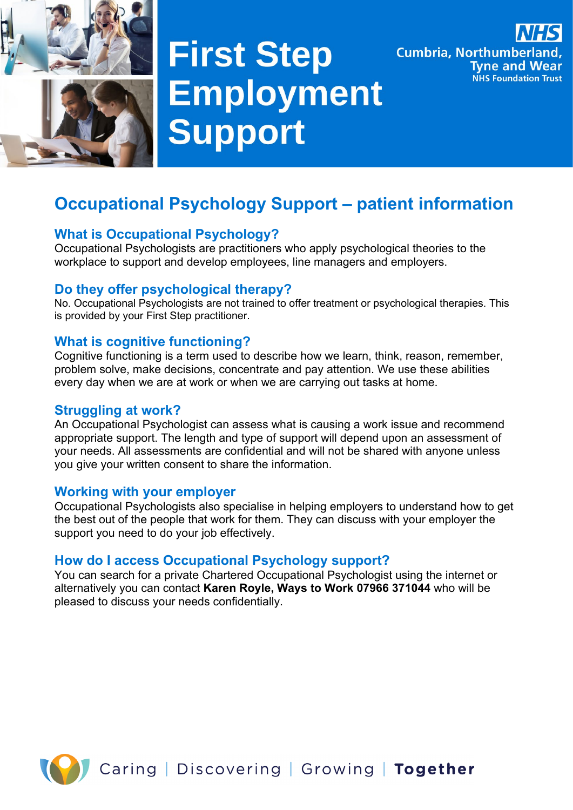

# **First Step Employment Support**



# **Occupational Psychology Support – patient information**

## **What is Occupational Psychology?**

Occupational Psychologists are practitioners who apply psychological theories to the workplace to support and develop employees, line managers and employers.

### **Do they offer psychological therapy?**

No. Occupational Psychologists are not trained to offer treatment or psychological therapies. This is provided by your First Step practitioner.

#### **What is cognitive functioning?**

Cognitive functioning is a term used to describe how we learn, think, reason, remember, problem solve, make decisions, concentrate and pay attention. We use these abilities every day when we are at work or when we are carrying out tasks at home.

#### **Struggling at work?**

An Occupational Psychologist can assess what is causing a work issue and recommend appropriate support. The length and type of support will depend upon an assessment of your needs. All assessments are confidential and will not be shared with anyone unless you give your written consent to share the information.

#### **Working with your employer**

Occupational Psychologists also specialise in helping employers to understand how to get the best out of the people that work for them. They can discuss with your employer the support you need to do your job effectively.

#### **How do I access Occupational Psychology support?**

You can search for a private Chartered Occupational Psychologist using the internet or alternatively you can contact **Karen Royle, Ways to Work 07966 371044** who will be pleased to discuss your needs confidentially.

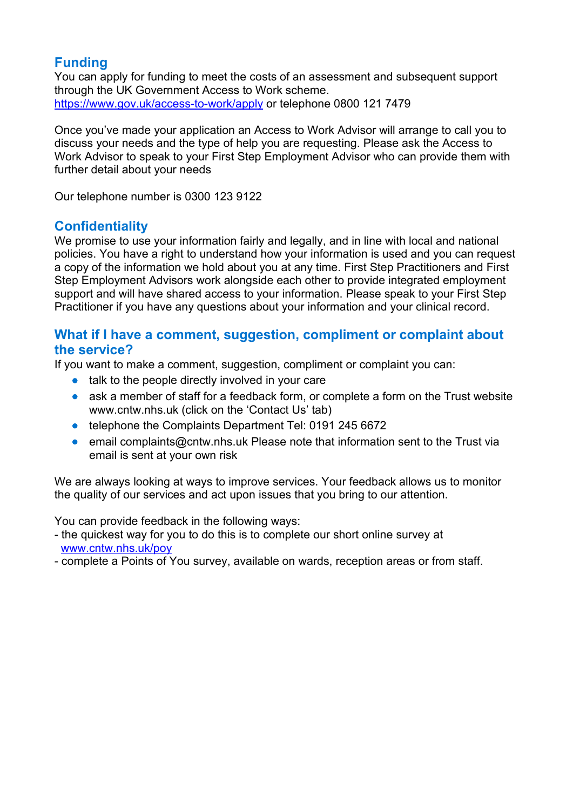# **Funding**

You can apply for funding to meet the costs of an assessment and subsequent support through the UK Government Access to Work scheme. <https://www.gov.uk/access-to-work/apply> or telephone 0800 121 7479

Once you've made your application an Access to Work Advisor will arrange to call you to discuss your needs and the type of help you are requesting. Please ask the Access to Work Advisor to speak to your First Step Employment Advisor who can provide them with further detail about your needs

Our telephone number is 0300 123 9122

# **Confidentiality**

We promise to use your information fairly and legally, and in line with local and national policies. You have a right to understand how your information is used and you can request a copy of the information we hold about you at any time. First Step Practitioners and First Step Employment Advisors work alongside each other to provide integrated employment support and will have shared access to your information. Please speak to your First Step Practitioner if you have any questions about your information and your clinical record.

#### **What if I have a comment, suggestion, compliment or complaint about the service?**

If you want to make a comment, suggestion, compliment or complaint you can:

- talk to the people directly involved in your care
- ask a member of staff for a feedback form, or complete a form on the Trust website www.cntw.nhs.uk (click on the 'Contact Us' tab)
- telephone the Complaints Department Tel: 0191 245 6672
- email complaints@cntw.nhs.uk Please note that information sent to the Trust via email is sent at your own risk

We are always looking at ways to improve services. Your feedback allows us to monitor the quality of our services and act upon issues that you bring to our attention.

You can provide feedback in the following ways:

- the quickest way for you to do this is to complete our short online survey at [www.cntw.nhs.uk/poy](http://www.cntw.nhs.uk/poy)
- complete a Points of You survey, available on wards, reception areas or from staff.